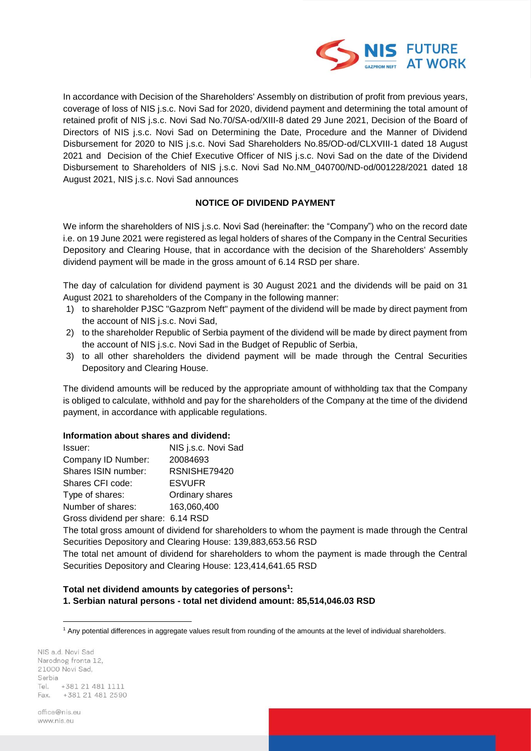

In accordance with Decision of the Shareholders' Assembly on distribution of profit from previous years, coverage of loss of NIS j.s.c. Novi Sad for 2020, dividend payment and determining the total amount of retained profit of NIS j.s.c. Novi Sad No.70/SA-od/XIII-8 dated 29 June 2021, Decision of the Board of Directors of NIS j.s.c. Novi Sad on Determining the Date, Procedure and the Manner of Dividend Disbursement for 2020 to NIS j.s.c. Novi Sad Shareholders No.85/OD-od/CLXVIII-1 dated 18 August 2021 and Decision of the Chief Executive Officer of NIS j.s.c. Novi Sad on the date of the Dividend Disbursement to Shareholders of NIS j.s.c. Novi Sad No.NM\_040700/ND-od/001228/2021 dated 18 August 2021, NIS j.s.c. Novi Sad announces

## **NOTICE OF DIVIDEND PAYMENT**

We inform the shareholders of NIS j.s.c. Novi Sad (hereinafter: the "Company") who on the record date i.e. on 19 June 2021 were registered as legal holders of shares of the Company in the Central Securities Depository and Clearing House, that in accordance with the decision of the Shareholders' Assembly dividend payment will be made in the gross amount of 6.14 RSD per share.

The day of calculation for dividend payment is 30 August 2021 and the dividends will be paid on 31 August 2021 to shareholders of the Company in the following manner:

- 1) to shareholder PJSC "Gazprom Neft" payment of the dividend will be made by direct payment from the account of NIS j.s.c. Novi Sad,
- 2) to the shareholder Republic of Serbia payment of the dividend will be made by direct payment from the account of NIS j.s.c. Novi Sad in the Budget of Republic of Serbia,
- 3) to all other shareholders the dividend payment will be made through the Central Securities Depository and Clearing House.

The dividend amounts will be reduced by the appropriate amount of withholding tax that the Company is obliged to calculate, withhold and pay for the shareholders of the Company at the time of the dividend payment, in accordance with applicable regulations.

#### **Information about shares and dividend:**

| Issuer:                            | NIS j.s.c. Novi Sad |
|------------------------------------|---------------------|
| Company ID Number:                 | 20084693            |
| Shares ISIN number:                | RSNISHE79420        |
| Shares CFI code:                   | <b>ESVUFR</b>       |
| Type of shares:                    | Ordinary shares     |
| Number of shares:                  | 163,060,400         |
| Gross dividend per share: 6.14 RSD |                     |

The total gross amount of dividend for shareholders to whom the payment is made through the Central Securities Depository and Clearing House: 139,883,653.56 RSD

The total net amount of dividend for shareholders to whom the payment is made through the Central Securities Depository and Clearing House: 123,414,641.65 RSD

#### **Total net dividend amounts by categories of persons 1 : 1. Serbian natural persons - total net dividend amount: 85,514,046.03 RSD**

NIS a.d. Novi Sad Narodnog fronta 12, 21000 Novi Sad. Serbia +381 21 481 1111 Tel. +381 21 481 2590 Fax.

office@niseu www.nis.eu

<sup>&</sup>lt;u>.</u> <sup>1</sup> Any potential differences in aggregate values result from rounding of the amounts at the level of individual shareholders.